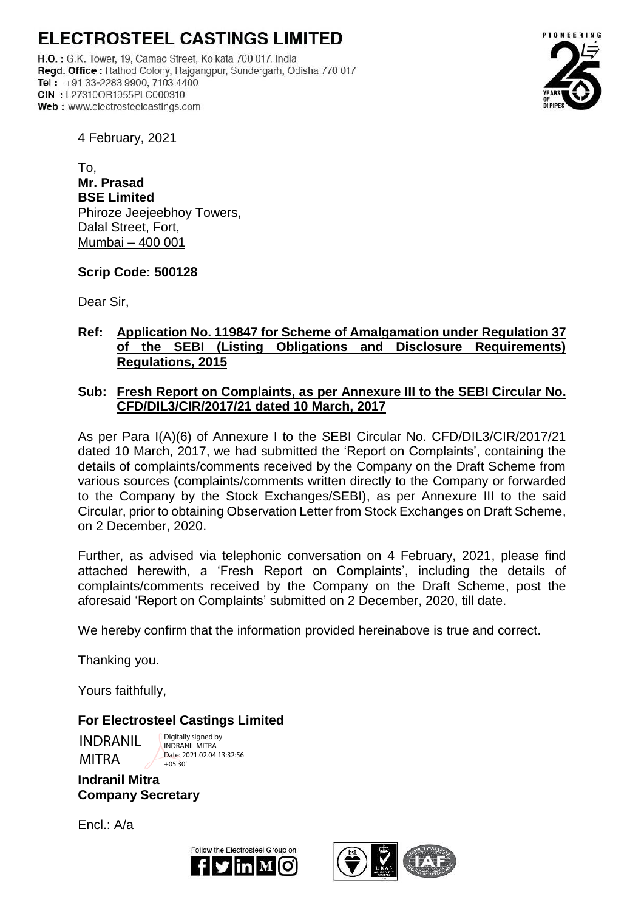# **ELECTROSTEEL CASTINGS LIMITED**

H.O. : G.K. Tower, 19, Camac Street, Kolkata 700 017, India Regd. Office: Rathod Colony, Rajgangpur, Sundergarh, Odisha 770 017 Tel:  $+91$  33-2283 9900, 7103 4400 CIN: L27310OR1955PLC000310 Web: www.electrosteelcastings.com



4 February, 2021

 $T<sub>O</sub>$ **Mr. Prasad BSE Limited** Phiroze Jeejeebhoy Towers, Dalal Street, Fort, Mumbai – 400 001

## **Scrip Code: 500128**

Dear Sir,

# **Ref: Application No. 119847 for Scheme of Amalgamation under Regulation 37 of the SEBI (Listing Obligations and Disclosure Requirements) Regulations, 2015**

## **Sub: Fresh Report on Complaints, as per Annexure III to the SEBI Circular No. CFD/DIL3/CIR/2017/21 dated 10 March, 2017**

As per Para I(A)(6) of Annexure I to the SEBI Circular No. CFD/DIL3/CIR/2017/21 dated 10 March, 2017, we had submitted the 'Report on Complaints', containing the details of complaints/comments received by the Company on the Draft Scheme from various sources (complaints/comments written directly to the Company or forwarded to the Company by the Stock Exchanges/SEBI), as per Annexure III to the said Circular, prior to obtaining Observation Letter from Stock Exchanges on Draft Scheme, on 2 December, 2020.

Further, as advised via telephonic conversation on 4 February, 2021, please find attached herewith, a 'Fresh Report on Complaints', including the details of complaints/comments received by the Company on the Draft Scheme, post the aforesaid 'Report on Complaints' submitted on 2 December, 2020, till date.

We hereby confirm that the information provided hereinabove is true and correct.

Thanking you.

Yours faithfully,

# **For Electrosteel Castings Limited**

INDRANIL MITRA

Digitally signed by INDRANIL MITRA Date: 2021.02.04.13:32:56  $+05'30'$ 

**Indranil Mitra Company Secretary** 

 $Encl : A/a$